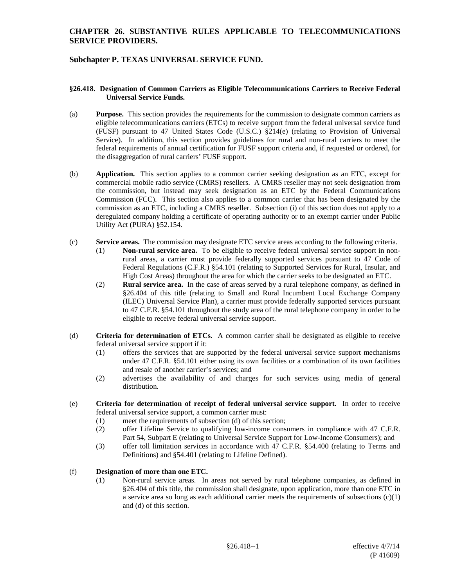# **Subchapter P. TEXAS UNIVERSAL SERVICE FUND.**

#### **§26.418. Designation of Common Carriers as Eligible Telecommunications Carriers to Receive Federal Universal Service Funds.**

- (a) **Purpose.** This section provides the requirements for the commission to designate common carriers as eligible telecommunications carriers (ETCs) to receive support from the federal universal service fund (FUSF) pursuant to 47 United States Code (U.S.C.) §214(e) (relating to Provision of Universal Service). In addition, this section provides guidelines for rural and non-rural carriers to meet the federal requirements of annual certification for FUSF support criteria and, if requested or ordered, for the disaggregation of rural carriers' FUSF support.
- (b) **Application.** This section applies to a common carrier seeking designation as an ETC, except for commercial mobile radio service (CMRS) resellers. A CMRS reseller may not seek designation from the commission, but instead may seek designation as an ETC by the Federal Communications Commission (FCC). This section also applies to a common carrier that has been designated by the commission as an ETC, including a CMRS reseller. Subsection (i) of this section does not apply to a deregulated company holding a certificate of operating authority or to an exempt carrier under Public Utility Act (PURA) §52.154.
- (c) **Service areas.** The commission may designate ETC service areas according to the following criteria.
	- (1) **Non-rural service area.** To be eligible to receive federal universal service support in nonrural areas, a carrier must provide federally supported services pursuant to 47 Code of Federal Regulations (C.F.R.) §54.101 (relating to Supported Services for Rural, Insular, and High Cost Areas) throughout the area for which the carrier seeks to be designated an ETC.
	- (2) **Rural service area.** In the case of areas served by a rural telephone company, as defined in §26.404 of this title (relating to Small and Rural Incumbent Local Exchange Company (ILEC) Universal Service Plan), a carrier must provide federally supported services pursuant to 47 C.F.R. §54.101 throughout the study area of the rural telephone company in order to be eligible to receive federal universal service support.
- (d) **Criteria for determination of ETCs.** A common carrier shall be designated as eligible to receive federal universal service support if it:
	- (1) offers the services that are supported by the federal universal service support mechanisms under 47 C.F.R. §54.101 either using its own facilities or a combination of its own facilities and resale of another carrier's services; and
	- (2) advertises the availability of and charges for such services using media of general distribution.
- (e) **Criteria for determination of receipt of federal universal service support.** In order to receive federal universal service support, a common carrier must:
	- (1) meet the requirements of subsection (d) of this section;
	- (2) offer Lifeline Service to qualifying low-income consumers in compliance with 47 C.F.R. Part 54, Subpart E (relating to Universal Service Support for Low-Income Consumers); and
	- (3) offer toll limitation services in accordance with 47 C.F.R. §54.400 (relating to Terms and Definitions) and §54.401 (relating to Lifeline Defined).

#### (f) **Designation of more than one ETC.**

(1) Non-rural service areas. In areas not served by rural telephone companies, as defined in §26.404 of this title, the commission shall designate, upon application, more than one ETC in a service area so long as each additional carrier meets the requirements of subsections  $(c)(1)$ and (d) of this section.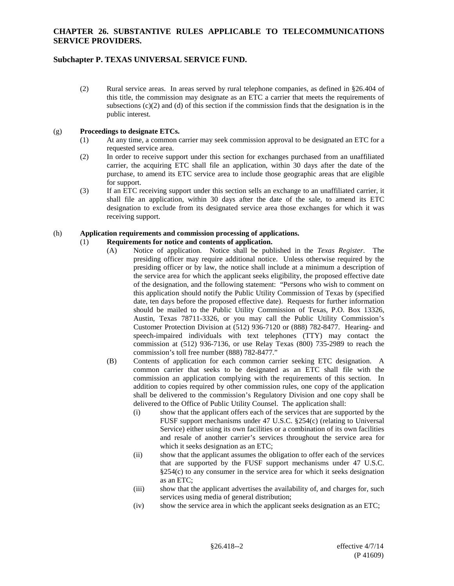## **Subchapter P. TEXAS UNIVERSAL SERVICE FUND.**

(2) Rural service areas. In areas served by rural telephone companies, as defined in §26.404 of this title, the commission may designate as an ETC a carrier that meets the requirements of subsections  $(c)(2)$  and  $(d)$  of this section if the commission finds that the designation is in the public interest.

#### (g) **Proceedings to designate ETCs.**

- (1) At any time, a common carrier may seek commission approval to be designated an ETC for a requested service area.
- (2) In order to receive support under this section for exchanges purchased from an unaffiliated carrier, the acquiring ETC shall file an application, within 30 days after the date of the purchase, to amend its ETC service area to include those geographic areas that are eligible for support.
- (3) If an ETC receiving support under this section sells an exchange to an unaffiliated carrier, it shall file an application, within 30 days after the date of the sale, to amend its ETC designation to exclude from its designated service area those exchanges for which it was receiving support.

#### (h) **Application requirements and commission processing of applications.**

#### (1) **Requirements for notice and contents of application.**

- (A) Notice of application. Notice shall be published in the *Texas Register*. The presiding officer may require additional notice. Unless otherwise required by the presiding officer or by law, the notice shall include at a minimum a description of the service area for which the applicant seeks eligibility, the proposed effective date of the designation, and the following statement: "Persons who wish to comment on this application should notify the Public Utility Commission of Texas by (specified date, ten days before the proposed effective date). Requests for further information should be mailed to the Public Utility Commission of Texas, P.O. Box 13326, Austin, Texas 78711-3326, or you may call the Public Utility Commission's Customer Protection Division at (512) 936-7120 or (888) 782-8477. Hearing- and speech-impaired individuals with text telephones (TTY) may contact the commission at (512) 936-7136, or use Relay Texas (800) 735-2989 to reach the commission's toll free number (888) 782-8477."
	- (B) Contents of application for each common carrier seeking ETC designation. A common carrier that seeks to be designated as an ETC shall file with the commission an application complying with the requirements of this section. In addition to copies required by other commission rules, one copy of the application shall be delivered to the commission's Regulatory Division and one copy shall be delivered to the Office of Public Utility Counsel. The application shall:
		- (i) show that the applicant offers each of the services that are supported by the FUSF support mechanisms under 47 U.S.C. §254(c) (relating to Universal Service) either using its own facilities or a combination of its own facilities and resale of another carrier's services throughout the service area for which it seeks designation as an ETC;
		- (ii) show that the applicant assumes the obligation to offer each of the services that are supported by the FUSF support mechanisms under 47 U.S.C. §254(c) to any consumer in the service area for which it seeks designation as an ETC;
		- (iii) show that the applicant advertises the availability of, and charges for, such services using media of general distribution;
		- (iv) show the service area in which the applicant seeks designation as an ETC;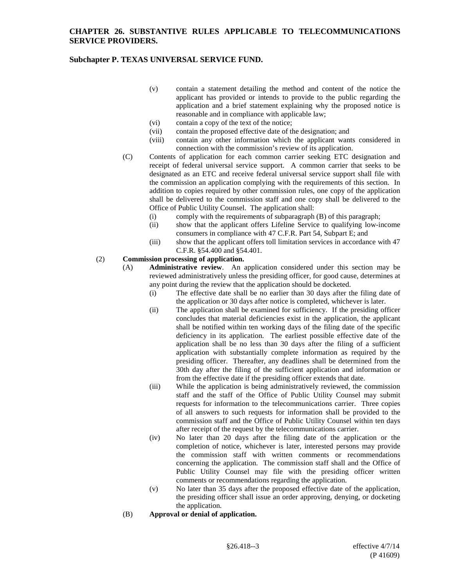# **Subchapter P. TEXAS UNIVERSAL SERVICE FUND.**

- (v) contain a statement detailing the method and content of the notice the applicant has provided or intends to provide to the public regarding the application and a brief statement explaining why the proposed notice is reasonable and in compliance with applicable law;
- (vi) contain a copy of the text of the notice;
- (vii) contain the proposed effective date of the designation; and
- (viii) contain any other information which the applicant wants considered in connection with the commission's review of its application.
- (C) Contents of application for each common carrier seeking ETC designation and receipt of federal universal service support. A common carrier that seeks to be designated as an ETC and receive federal universal service support shall file with the commission an application complying with the requirements of this section. In addition to copies required by other commission rules, one copy of the application shall be delivered to the commission staff and one copy shall be delivered to the Office of Public Utility Counsel. The application shall:
	- (i) comply with the requirements of subparagraph (B) of this paragraph;
	- (ii) show that the applicant offers Lifeline Service to qualifying low-income consumers in compliance with 47 C.F.R. Part 54, Subpart E; and
	- (iii) show that the applicant offers toll limitation services in accordance with 47 C.F.R. §54.400 and §54.401.

### (2) **Commission processing of application.**

- (A) **Administrative review**. An application considered under this section may be reviewed administratively unless the presiding officer, for good cause, determines at any point during the review that the application should be docketed.
	- (i) The effective date shall be no earlier than 30 days after the filing date of the application or 30 days after notice is completed, whichever is later.
	- (ii) The application shall be examined for sufficiency. If the presiding officer concludes that material deficiencies exist in the application, the applicant shall be notified within ten working days of the filing date of the specific deficiency in its application. The earliest possible effective date of the application shall be no less than 30 days after the filing of a sufficient application with substantially complete information as required by the presiding officer. Thereafter, any deadlines shall be determined from the 30th day after the filing of the sufficient application and information or from the effective date if the presiding officer extends that date.
	- (iii) While the application is being administratively reviewed, the commission staff and the staff of the Office of Public Utility Counsel may submit requests for information to the telecommunications carrier. Three copies of all answers to such requests for information shall be provided to the commission staff and the Office of Public Utility Counsel within ten days after receipt of the request by the telecommunications carrier.
	- (iv) No later than 20 days after the filing date of the application or the completion of notice, whichever is later, interested persons may provide the commission staff with written comments or recommendations concerning the application. The commission staff shall and the Office of Public Utility Counsel may file with the presiding officer written comments or recommendations regarding the application.
	- (v) No later than 35 days after the proposed effective date of the application, the presiding officer shall issue an order approving, denying, or docketing the application.
- (B) **Approval or denial of application.**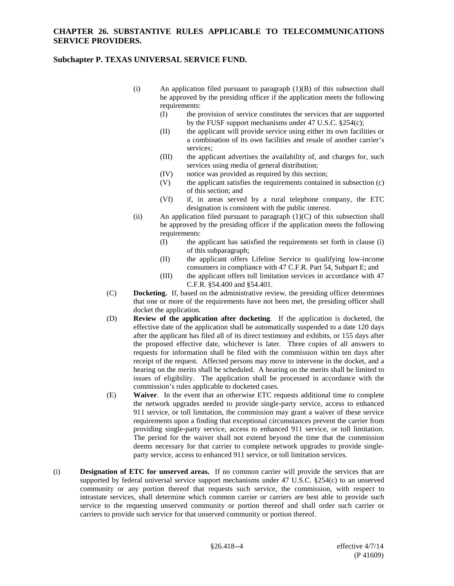#### **Subchapter P. TEXAS UNIVERSAL SERVICE FUND.**

- (i) An application filed pursuant to paragraph (1)(B) of this subsection shall be approved by the presiding officer if the application meets the following requirements:
	- (I) the provision of service constitutes the services that are supported by the FUSF support mechanisms under 47 U.S.C. §254(c);
	- (II) the applicant will provide service using either its own facilities or a combination of its own facilities and resale of another carrier's services;
	- (III) the applicant advertises the availability of, and charges for, such services using media of general distribution;
	- (IV) notice was provided as required by this section;
	- (V) the applicant satisfies the requirements contained in subsection (c) of this section; and
	- (VI) if, in areas served by a rural telephone company, the ETC designation is consistent with the public interest.
- (ii) An application filed pursuant to paragraph  $(1)(C)$  of this subsection shall be approved by the presiding officer if the application meets the following requirements:
	- (I) the applicant has satisfied the requirements set forth in clause (i) of this subparagraph;
	- (II) the applicant offers Lifeline Service to qualifying low-income consumers in compliance with 47 C.F.R. Part 54, Subpart E; and
	- (III) the applicant offers toll limitation services in accordance with 47 C.F.R. §54.400 and §54.401.
- (C) **Docketing.** If, based on the administrative review, the presiding officer determines that one or more of the requirements have not been met, the presiding officer shall docket the application.
- (D) **Review of the application after docketing**. If the application is docketed, the effective date of the application shall be automatically suspended to a date 120 days after the applicant has filed all of its direct testimony and exhibits, or 155 days after the proposed effective date, whichever is later. Three copies of all answers to requests for information shall be filed with the commission within ten days after receipt of the request. Affected persons may move to intervene in the docket, and a hearing on the merits shall be scheduled. A hearing on the merits shall be limited to issues of eligibility. The application shall be processed in accordance with the commission's rules applicable to docketed cases.
- (E) **Waiver**. In the event that an otherwise ETC requests additional time to complete the network upgrades needed to provide single-party service, access to enhanced 911 service, or toll limitation, the commission may grant a waiver of these service requirements upon a finding that exceptional circumstances prevent the carrier from providing single-party service, access to enhanced 911 service, or toll limitation. The period for the waiver shall not extend beyond the time that the commission deems necessary for that carrier to complete network upgrades to provide singleparty service, access to enhanced 911 service, or toll limitation services.
- (i) **Designation of ETC for unserved areas.** If no common carrier will provide the services that are supported by federal universal service support mechanisms under 47 U.S.C. §254(c) to an unserved community or any portion thereof that requests such service, the commission, with respect to intrastate services, shall determine which common carrier or carriers are best able to provide such service to the requesting unserved community or portion thereof and shall order such carrier or carriers to provide such service for that unserved community or portion thereof.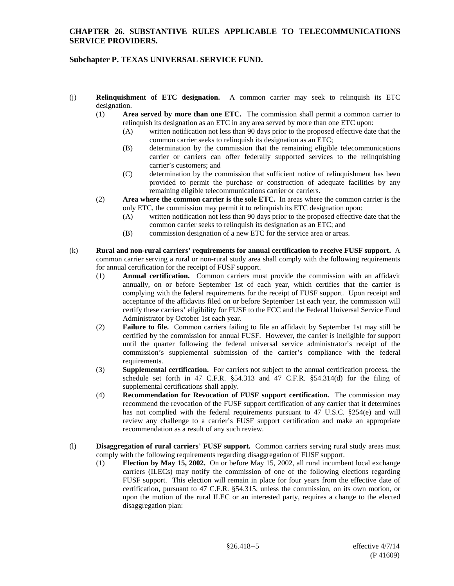# **Subchapter P. TEXAS UNIVERSAL SERVICE FUND.**

- (j) **Relinquishment of ETC designation.** A common carrier may seek to relinquish its ETC designation.
	- (1) **Area served by more than one ETC.** The commission shall permit a common carrier to relinquish its designation as an ETC in any area served by more than one ETC upon:
		- (A) written notification not less than 90 days prior to the proposed effective date that the common carrier seeks to relinquish its designation as an ETC;
		- (B) determination by the commission that the remaining eligible telecommunications carrier or carriers can offer federally supported services to the relinquishing carrier's customers; and
		- (C) determination by the commission that sufficient notice of relinquishment has been provided to permit the purchase or construction of adequate facilities by any remaining eligible telecommunications carrier or carriers.
	- (2) **Area where the common carrier is the sole ETC.** In areas where the common carrier is the only ETC, the commission may permit it to relinquish its ETC designation upon:
		- (A) written notification not less than 90 days prior to the proposed effective date that the common carrier seeks to relinquish its designation as an ETC; and
		- (B) commission designation of a new ETC for the service area or areas.
- (k) **Rural and non-rural carriers' requirements for annual certification to receive FUSF support.** A common carrier serving a rural or non-rural study area shall comply with the following requirements for annual certification for the receipt of FUSF support.
	- (1) **Annual certification.** Common carriers must provide the commission with an affidavit annually, on or before September 1st of each year, which certifies that the carrier is complying with the federal requirements for the receipt of FUSF support. Upon receipt and acceptance of the affidavits filed on or before September 1st each year, the commission will certify these carriers' eligibility for FUSF to the FCC and the Federal Universal Service Fund Administrator by October 1st each year.
	- (2) **Failure to file.** Common carriers failing to file an affidavit by September 1st may still be certified by the commission for annual FUSF. However, the carrier is ineligible for support until the quarter following the federal universal service administrator's receipt of the commission's supplemental submission of the carrier's compliance with the federal requirements.
	- (3) **Supplemental certification.** For carriers not subject to the annual certification process, the schedule set forth in 47 C.F.R. §54.313 and 47 C.F.R. §54.314(d) for the filing of supplemental certifications shall apply.
	- (4) **Recommendation for Revocation of FUSF support certification.** The commission may recommend the revocation of the FUSF support certification of any carrier that it determines has not complied with the federal requirements pursuant to 47 U.S.C. §254(e) and will review any challenge to a carrier's FUSF support certification and make an appropriate recommendation as a result of any such review.
- (l) **Disaggregation of rural carriers**' **FUSF support.** Common carriers serving rural study areas must comply with the following requirements regarding disaggregation of FUSF support.
	- (1) **Election by May 15, 2002.** On or before May 15, 2002, all rural incumbent local exchange carriers (ILECs) may notify the commission of one of the following elections regarding FUSF support. This election will remain in place for four years from the effective date of certification, pursuant to 47 C.F.R. §54.315, unless the commission, on its own motion, or upon the motion of the rural ILEC or an interested party, requires a change to the elected disaggregation plan: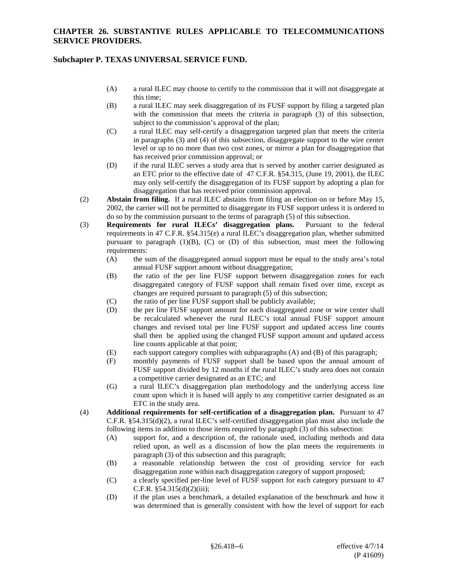### **Subchapter P. TEXAS UNIVERSAL SERVICE FUND.**

- (A) a rural ILEC may choose to certify to the commission that it will not disaggregate at this time;
- (B) a rural ILEC may seek disaggregation of its FUSF support by filing a targeted plan with the commission that meets the criteria in paragraph (3) of this subsection, subject to the commission's approval of the plan;
- (C) a rural ILEC may self-certify a disaggregation targeted plan that meets the criteria in paragraphs (3) and (4) of this subsection, disaggregate support to the wire center level or up to no more than two cost zones, or mirror a plan for disaggregation that has received prior commission approval; or
- (D) if the rural ILEC serves a study area that is served by another carrier designated as an ETC prior to the effective date of 47 C.F.R. §54.315, (June 19, 2001), the ILEC may only self-certify the disaggregation of its FUSF support by adopting a plan for disaggregation that has received prior commission approval.
- (2) **Abstain from filing.** If a rural ILEC abstains from filing an election on or before May 15, 2002, the carrier will not be permitted to disaggregate its FUSF support unless it is ordered to do so by the commission pursuant to the terms of paragraph (5) of this subsection.
- (3) **Requirements for rural ILECs' disaggregation plans.** Pursuant to the federal requirements in 47 C.F.R. §54.315(e) a rural ILEC's disaggregation plan, whether submitted pursuant to paragraph  $(1)(B)$ ,  $(C)$  or  $(D)$  of this subsection, must meet the following requirements:
	- (A) the sum of the disaggregated annual support must be equal to the study area's total annual FUSF support amount without disaggregation;
	- (B) the ratio of the per line FUSF support between disaggregation zones for each disaggregated category of FUSF support shall remain fixed over time, except as changes are required pursuant to paragraph (5) of this subsection;
	- (C) the ratio of per line FUSF support shall be publicly available;
	- (D) the per line FUSF support amount for each disaggregated zone or wire center shall be recalculated whenever the rural ILEC's total annual FUSF support amount changes and revised total per line FUSF support and updated access line counts shall then be applied using the changed FUSF support amount and updated access line counts applicable at that point;
	- (E) each support category complies with subparagraphs (A) and (B) of this paragraph;
	- (F) monthly payments of FUSF support shall be based upon the annual amount of FUSF support divided by 12 months if the rural ILEC's study area does not contain a competitive carrier designated as an ETC; and
	- (G) a rural ILEC's disaggregation plan methodology and the underlying access line count upon which it is based will apply to any competitive carrier designated as an ETC in the study area.
- (4) **Additional requirements for self-certification of a disaggregation plan.** Pursuant to 47 C.F.R. §54.315(d)(2), a rural ILEC's self-certified disaggregation plan must also include the following items in addition to those items required by paragraph (3) of this subsection:
	- (A) support for, and a description of, the rationale used, including methods and data relied upon, as well as a discussion of how the plan meets the requirements in paragraph (3) of this subsection and this paragraph;
	- (B) a reasonable relationship between the cost of providing service for each disaggregation zone within each disaggregation category of support proposed;
	- (C) a clearly specified per-line level of FUSF support for each category pursuant to 47 C.F.R.  $§54.315(d)(2)(iii);$
	- (D) if the plan uses a benchmark, a detailed explanation of the benchmark and how it was determined that is generally consistent with how the level of support for each